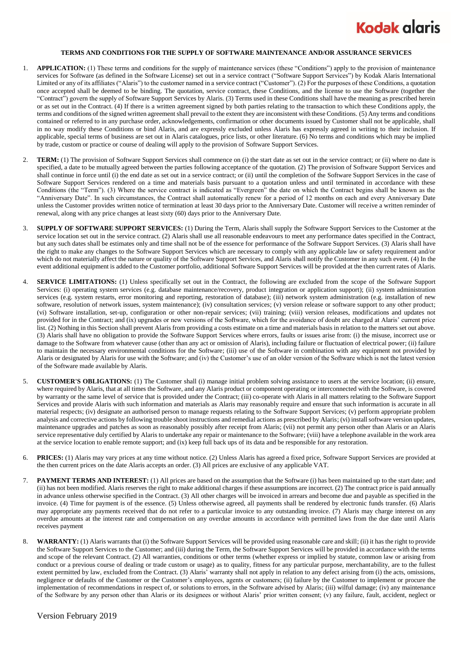

## **TERMS AND CONDITIONS FOR THE SUPPLY OF SOFTWARE MAINTENANCE AND/OR ASSURANCE SERVICES**

- 1. **APPLICATION:** (1) These terms and conditions for the supply of maintenance services (these "Conditions") apply to the provision of maintenance services for Software (as defined in the Software License) set out in a service contract ("Software Support Services") by Kodak Alaris International Limited or any of its affiliates ("Alaris") to the customer named in a service contract ("Customer"). (2) For the purposes of these Conditions, a quotation once accepted shall be deemed to be binding. The quotation, service contract, these Conditions, and the license to use the Software (together the "Contract") govern the supply of Software Support Services by Alaris. (3) Terms used in these Conditions shall have the meaning as prescribed herein or as set out in the Contract. (4) If there is a written agreement signed by both parties relating to the transaction to which these Conditions apply, the terms and conditions of the signed written agreement shall prevail to the extent they are inconsistent with these Conditions. (5) Any terms and conditions contained or referred to in any purchase order, acknowledgements, confirmation or other documents issued by Customer shall not be applicable, shall in no way modify these Conditions or bind Alaris, and are expressly excluded unless Alaris has expressly agreed in writing to their inclusion. If applicable, special terms of business are set out in Alaris catalogues, price lists, or other literature. (6) No terms and conditions which may be implied by trade, custom or practice or course of dealing will apply to the provision of Software Support Services.
- 2. **TERM:** (1) The provision of Software Support Services shall commence on (i) the start date as set out in the service contract; or (ii) where no date is specified, a date to be mutually agreed between the parties following acceptance of the quotation. (2) The provision of Software Support Services and shall continue in force until (i) the end date as set out in a service contract; or (ii) until the completion of the Software Support Services in the case of Software Support Services rendered on a time and materials basis pursuant to a quotation unless and until terminated in accordance with these Conditions (the "Term"). (3) Where the service contract is indicated as "Evergreen" the date on which the Contract begins shall be known as the "Anniversary Date". In such circumstances, the Contract shall automatically renew for a period of 12 months on each and every Anniversary Date unless the Customer provides written notice of termination at least 30 days prior to the Anniversary Date. Customer will receive a written reminder of renewal, along with any price changes at least sixty (60) days prior to the Anniversary Date.
- 3. **SUPPLY OF SOFTWARE SUPPORT SERVICES:** (1) During the Term, Alaris shall supply the Software Support Services to the Customer at the service location set out in the service contract. (2) Alaris shall use all reasonable endeavours to meet any performance dates specified in the Contract, but any such dates shall be estimates only and time shall not be of the essence for performance of the Software Support Services. (3) Alaris shall have the right to make any changes to the Software Support Services which are necessary to comply with any applicable law or safety requirement and/or which do not materially affect the nature or quality of the Software Support Services, and Alaris shall notify the Customer in any such event. (4) In the event additional equipment is added to the Customer portfolio, additional Software Support Services will be provided at the then current rates of Alaris.
- 4. **SERVICE LIMITATIONS:** (1) Unless specifically set out in the Contract, the following are excluded from the scope of the Software Support Services: (i) operating system services (e.g. database maintenance/recovery, product integration or application support); (ii) system administration services (e.g. system restarts, error monitoring and reporting, restoration of database); (iii) network system administration (e.g. installation of new software, resolution of network issues, system maintenance); (iv) consultation services; (v) version release or software support to any other product; (vi) Software installation, set-up, configuration or other non-repair services; (vii) training; (viii) version releases, modifications and updates not provided for in the Contract; and (ix) upgrades or new versions of the Software, which for the avoidance of doubt are charged at Alaris' current price list. (2) Nothing in this Section shall prevent Alaris from providing a costs estimate on a time and materials basis in relation to the matters set out above. (3) Alaris shall have no obligation to provide the Software Support Services where errors, faults or issues arise from: (i) the misuse, incorrect use or damage to the Software from whatever cause (other than any act or omission of Alaris), including failure or fluctuation of electrical power; (ii) failure to maintain the necessary environmental conditions for the Software; (iii) use of the Software in combination with any equipment not provided by Alaris or designated by Alaris for use with the Software; and (iv) the Customer's use of an older version of the Software which is not the latest version of the Software made available by Alaris.
- 5. **CUSTOMER'S OBLIGATIONS:** (1) The Customer shall (i) manage initial problem solving assistance to users at the service location; (ii) ensure, where required by Alaris, that at all times the Software, and any Alaris product or component operating or interconnected with the Software, is covered by warranty or the same level of service that is provided under the Contract; (iii) co-operate with Alaris in all matters relating to the Software Support Services and provide Alaris with such information and materials as Alaris may reasonably require and ensure that such information is accurate in all material respects; (iv) designate an authorised person to manage requests relating to the Software Support Services; (v) perform appropriate problem analysis and corrective actions by following trouble shoot instructions and remedial actions as prescribed by Alaris; (vi) install software version updates, maintenance upgrades and patches as soon as reasonably possibly after receipt from Alaris; (vii) not permit any person other than Alaris or an Alaris service representative duly certified by Alaris to undertake any repair or maintenance to the Software; (viii) have a telephone available in the work area at the service location to enable remote support; and (ix) keep full back ups of its data and be responsible for any restoration.
- 6. **PRICES:** (1) Alaris may vary prices at any time without notice. (2) Unless Alaris has agreed a fixed price, Software Support Services are provided at the then current prices on the date Alaris accepts an order. (3) All prices are exclusive of any applicable VAT.
- 7. **PAYMENT TERMS AND INTEREST:** (1) All prices are based on the assumption that the Software (i) has been maintained up to the start date; and (ii) has not been modified. Alaris reserves the right to make additional charges if these assumptions are incorrect. (2) The contract price is paid annually in advance unless otherwise specified in the Contract. (3) All other charges will be invoiced in arrears and become due and payable as specified in the invoice. (4) Time for payment is of the essence. (5) Unless otherwise agreed, all payments shall be rendered by electronic funds transfer. (6) Alaris may appropriate any payments received that do not refer to a particular invoice to any outstanding invoice. (7) Alaris may charge interest on any overdue amounts at the interest rate and compensation on any overdue amounts in accordance with permitted laws from the due date until Alaris receives payment
- WARRANTY: (1) Alaris warrants that (i) the Software Support Services will be provided using reasonable care and skill; (ii) it has the right to provide the Software Support Services to the Customer; and (iii) during the Term, the Software Support Services will be provided in accordance with the terms and scope of the relevant Contract. (2) All warranties, conditions or other terms (whether express or implied by statute, common law or arising from conduct or a previous course of dealing or trade custom or usage) as to quality, fitness for any particular purpose, merchantability, are to the fullest extent permitted by law, excluded from the Contract. (3) Alaris' warranty shall not apply in relation to any defect arising from (i) the acts, omissions, negligence or defaults of the Customer or the Customer's employees, agents or customers; (ii) failure by the Customer to implement or procure the implementation of recommendations in respect of, or solutions to errors, in the Software advised by Alaris; (iii) wilful damage; (iv) any maintenance of the Software by any person other than Alaris or its designees or without Alaris' prior written consent; (v) any failure, fault, accident, neglect or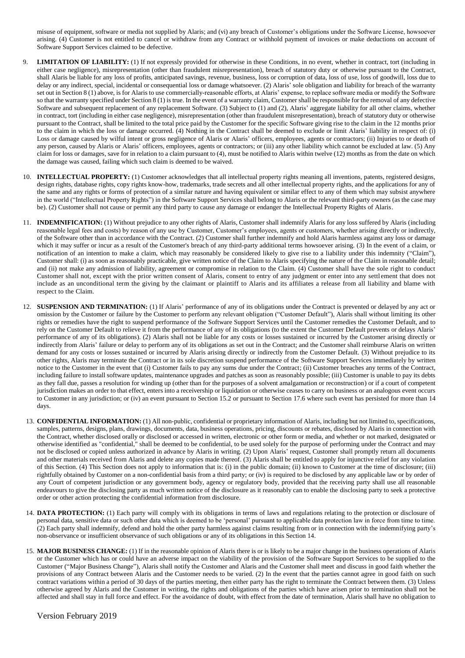misuse of equipment, software or media not supplied by Alaris; and (vi) any breach of Customer's obligations under the Software License, howsoever arising. (4) Customer is not entitled to cancel or withdraw from any Contract or withhold payment of invoices or make deductions on account of Software Support Services claimed to be defective.

- 9. **LIMITATION OF LIABILITY:** (1) If not expressly provided for otherwise in these Conditions, in no event, whether in contract, tort (including in either case negligence), misrepresentation (other than fraudulent misrepresentation), breach of statutory duty or otherwise pursuant to the Contract, shall Alaris be liable for any loss of profits, anticipated savings, revenue, business, loss or corruption of data, loss of use, loss of goodwill, loss due to delay or any indirect, special, incidental or consequential loss or damage whatsoever. (2) Alaris' sole obligation and liability for breach of the warranty set out in Section 8 (1) above, is for Alaris to use commercially-reasonable efforts, at Alaris' expense, to replace software media or modify the Software so that the warranty specified under Section 8 (1) is true. In the event of a warranty claim, Customer shall be responsible for the removal of any defective Software and subsequent replacement of any replacement Software. (3) Subject to (1) and (2), Alaris' aggregate liability for all other claims, whether in contract, tort (including in either case negligence), misrepresentation (other than fraudulent misrepresentation), breach of statutory duty or otherwise pursuant to the Contract, shall be limited to the total price paid by the Customer for the specific Software giving rise to the claim in the 12 months prior to the claim in which the loss or damage occurred. (4) Nothing in the Contract shall be deemed to exclude or limit Alaris' liability in respect of: (i) Loss or damage caused by wilful intent or gross negligence of Alaris or Alaris' officers, employees, agents or contractors; (ii) Injuries to or death of any person, caused by Alaris or Alaris' officers, employees, agents or contractors; or (iii) any other liability which cannot be excluded at law. (5) Any claim for loss or damages, save for in relation to a claim pursuant to (4), must be notified to Alaris within twelve (12) months as from the date on which the damage was caused, failing which such claim is deemed to be waived.
- 10. **INTELLECTUAL PROPERTY:** (1) Customer acknowledges that all intellectual property rights meaning all inventions, patents, registered designs, design rights, database rights, copy rights know-how, trademarks, trade secrets and all other intellectual property rights, and the applications for any of the same and any rights or forms of protection of a similar nature and having equivalent or similar effect to any of them which may subsist anywhere in the world ("Intellectual Property Rights") in the Software Support Services shall belong to Alaris or the relevant third-party owners (as the case may be). (2) Customer shall not cause or permit any third party to cause any damage or endanger the Intellectual Property Rights of Alaris.
- 11. **INDEMNIFICATION:** (1) Without prejudice to any other rights of Alaris, Customer shall indemnify Alaris for any loss suffered by Alaris (including reasonable legal fees and costs) by reason of any use by Customer, Customer's employees, agents or customers, whether arising directly or indirectly, of the Software other than in accordance with the Contract. (2) Customer shall further indemnify and hold Alaris harmless against any loss or damage which it may suffer or incur as a result of the Customer's breach of any third-party additional terms howsoever arising. (3) In the event of a claim, or notification of an intention to make a claim, which may reasonably be considered likely to give rise to a liability under this indemnity ("Claim"), Customer shall: (i) as soon as reasonably practicable, give written notice of the Claim to Alaris specifying the nature of the Claim in reasonable detail; and (ii) not make any admission of liability, agreement or compromise in relation to the Claim. (4) Customer shall have the sole right to conduct Customer shall not, except with the prior written consent of Alaris, consent to entry of any judgment or enter into any settl ement that does not include as an unconditional term the giving by the claimant or plaintiff to Alaris and its affiliates a release from all liability and blame with respect to the Claim.
- 12. **SUSPENSION AND TERMINATION:** (1) If Alaris' performance of any of its obligations under the Contract is prevented or delayed by any act or omission by the Customer or failure by the Customer to perform any relevant obligation ("Customer Default"), Alaris shall without limiting its other rights or remedies have the right to suspend performance of the Software Support Services until the Customer remedies the Customer Default, and to rely on the Customer Default to relieve it from the performance of any of its obligations (to the extent the Customer Default prevents or delays Alaris' performance of any of its obligations). (2) Alaris shall not be liable for any costs or losses sustained or incurred by the Customer arising directly or indirectly from Alaris' failure or delay to perform any of its obligations as set out in the Contract; and the Customer shall reimburse Alaris on written demand for any costs or losses sustained or incurred by Alaris arising directly or indirectly from the Customer Default. (3) Without prejudice to its other rights, Alaris may terminate the Contract or in its sole discretion suspend performance of the Software Support Services immediately by written notice to the Customer in the event that (i) Customer fails to pay any sums due under the Contract; (ii) Customer breaches any terms of the Contract, including failure to install software updates, maintenance upgrades and patches as soon as reasonably possible; (iii) Customer is unable to pay its debts as they fall due, passes a resolution for winding up (other than for the purposes of a solvent amalgamation or reconstruction) or if a court of competent jurisdiction makes an order to that effect, enters into a receivership or liquidation or otherwise ceases to carry on business or an analogous event occurs to Customer in any jurisdiction; or (iv) an event pursuant to Section 15.2 or pursuant to Section 17.6 where such event has persisted for more than 14 days.
- 13. **CONFIDENTIAL INFORMATION:** (1) All non-public, confidential or proprietary information of Alaris, including but not limited to, specifications, samples, patterns, designs, plans, drawings, documents, data, business operations, pricing, discounts or rebates, disclosed by Alaris in connection with the Contract, whether disclosed orally or disclosed or accessed in written, electronic or other form or media, and whether or not marked, designated or otherwise identified as "confidential," shall be deemed to be confidential, to be used solely for the purpose of performing under the Contract and may not be disclosed or copied unless authorized in advance by Alaris in writing. (2) Upon Alaris' request, Customer shall promptly return all documents and other materials received from Alaris and delete any copies made thereof. (3) Alaris shall be entitled to apply for injunctive relief for any violation of this Section. (4) This Section does not apply to information that is: (i) in the public domain; (ii) known to Customer at the time of disclosure; (iii) rightfully obtained by Customer on a non-confidential basis from a third party; or (iv) is required to be disclosed by any applicable law or by order of any Court of competent jurisdiction or any government body, agency or regulatory body, provided that the receiving party shall use all reasonable endeavours to give the disclosing party as much written notice of the disclosure as it reasonably can to enable the disclosing party to seek a protective order or other action protecting the confidential information from disclosure.
- 14. **DATA PROTECTION:** (1) Each party will comply with its obligations in terms of laws and regulations relating to the protection or disclosure of personal data, sensitive data or such other data which is deemed to be 'personal' pursuant to applicable data protection law in force from time to time. (2) Each party shall indemnify, defend and hold the other party harmless against claims resulting from or in connection with the indemnifying party's non-observance or insufficient observance of such obligations or any of its obligations in this Section 14.
- 15. **MAJOR BUSINESS CHANGE:** (1) If in the reasonable opinion of Alaris there is or is likely to be a major change in the business operations of Alaris or the Customer which has or could have an adverse impact on the viability of the provision of the Software Support Services to be supplied to the Customer ("Major Business Change"), Alaris shall notify the Customer and Alaris and the Customer shall meet and discuss in good faith whether the provisions of any Contract between Alaris and the Customer needs to be varied. (2) In the event that the parties cannot agree in good faith on such contract variations within a period of 30 days of the parties meeting, then either party has the right to terminate the Contract between them. (3) Unless otherwise agreed by Alaris and the Customer in writing, the rights and obligations of the parties which have arisen prior to termination shall not be affected and shall stay in full force and effect. For the avoidance of doubt, with effect from the date of termination, Alaris shall have no obligation to